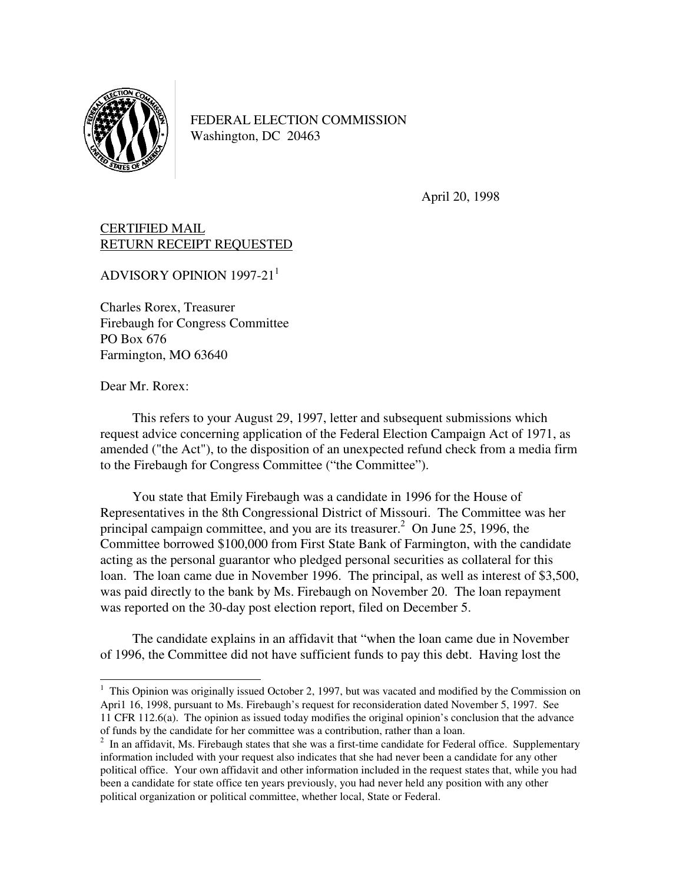

FEDERAL ELECTION COMMISSION Washington, DC 20463

April 20, 1998

## CERTIFIED MAIL RETURN RECEIPT REQUESTED

ADVISORY OPINION  $1997-21$ <sup>1</sup>

Charles Rorex, Treasurer Firebaugh for Congress Committee PO Box 676 Farmington, MO 63640

Dear Mr. Rorex:

 This refers to your August 29, 1997, letter and subsequent submissions which request advice concerning application of the Federal Election Campaign Act of 1971, as amended ("the Act"), to the disposition of an unexpected refund check from a media firm to the Firebaugh for Congress Committee ("the Committee").

 You state that Emily Firebaugh was a candidate in 1996 for the House of Representatives in the 8th Congressional District of Missouri. The Committee was her principal campaign committee, and you are its treasurer.<sup>2</sup> On June 25, 1996, the Committee borrowed \$100,000 from First State Bank of Farmington, with the candidate acting as the personal guarantor who pledged personal securities as collateral for this loan. The loan came due in November 1996. The principal, as well as interest of \$3,500, was paid directly to the bank by Ms. Firebaugh on November 20. The loan repayment was reported on the 30-day post election report, filed on December 5.

 The candidate explains in an affidavit that "when the loan came due in November of 1996, the Committee did not have sufficient funds to pay this debt. Having lost the

<sup>&</sup>lt;sup>1</sup> This Opinion was originally issued October 2, 1997, but was vacated and modified by the Commission on Apri1 16, 1998, pursuant to Ms. Firebaugh's request for reconsideration dated November 5, 1997. See 11 CFR 112.6(a). The opinion as issued today modifies the original opinion's conclusion that the advance of funds by the candidate for her committee was a contribution, rather than a loan.

 $2$  In an affidavit, Ms. Firebaugh states that she was a first-time candidate for Federal office. Supplementary information included with your request also indicates that she had never been a candidate for any other political office. Your own affidavit and other information included in the request states that, while you had been a candidate for state office ten years previously, you had never held any position with any other political organization or political committee, whether local, State or Federal.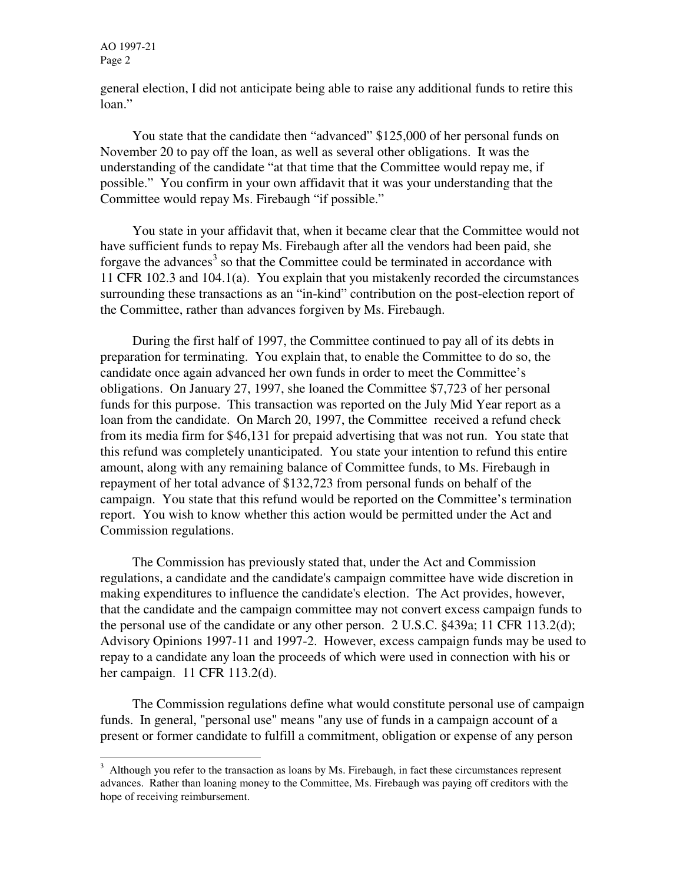AO 1997-21 Page 2

j

general election, I did not anticipate being able to raise any additional funds to retire this loan."

 You state that the candidate then "advanced" \$125,000 of her personal funds on November 20 to pay off the loan, as well as several other obligations. It was the understanding of the candidate "at that time that the Committee would repay me, if possible." You confirm in your own affidavit that it was your understanding that the Committee would repay Ms. Firebaugh "if possible."

 You state in your affidavit that, when it became clear that the Committee would not have sufficient funds to repay Ms. Firebaugh after all the vendors had been paid, she forgave the advances<sup>3</sup> so that the Committee could be terminated in accordance with 11 CFR 102.3 and 104.1(a). You explain that you mistakenly recorded the circumstances surrounding these transactions as an "in-kind" contribution on the post-election report of the Committee, rather than advances forgiven by Ms. Firebaugh.

 During the first half of 1997, the Committee continued to pay all of its debts in preparation for terminating. You explain that, to enable the Committee to do so, the candidate once again advanced her own funds in order to meet the Committee's obligations. On January 27, 1997, she loaned the Committee \$7,723 of her personal funds for this purpose. This transaction was reported on the July Mid Year report as a loan from the candidate. On March 20, 1997, the Committee received a refund check from its media firm for \$46,131 for prepaid advertising that was not run. You state that this refund was completely unanticipated. You state your intention to refund this entire amount, along with any remaining balance of Committee funds, to Ms. Firebaugh in repayment of her total advance of \$132,723 from personal funds on behalf of the campaign. You state that this refund would be reported on the Committee's termination report. You wish to know whether this action would be permitted under the Act and Commission regulations.

 The Commission has previously stated that, under the Act and Commission regulations, a candidate and the candidate's campaign committee have wide discretion in making expenditures to influence the candidate's election. The Act provides, however, that the candidate and the campaign committee may not convert excess campaign funds to the personal use of the candidate or any other person. 2 U.S.C. §439a; 11 CFR 113.2(d); Advisory Opinions 1997-11 and 1997-2. However, excess campaign funds may be used to repay to a candidate any loan the proceeds of which were used in connection with his or her campaign. 11 CFR 113.2(d).

 The Commission regulations define what would constitute personal use of campaign funds. In general, "personal use" means "any use of funds in a campaign account of a present or former candidate to fulfill a commitment, obligation or expense of any person

 $3$  Although you refer to the transaction as loans by Ms. Firebaugh, in fact these circumstances represent advances. Rather than loaning money to the Committee, Ms. Firebaugh was paying off creditors with the hope of receiving reimbursement.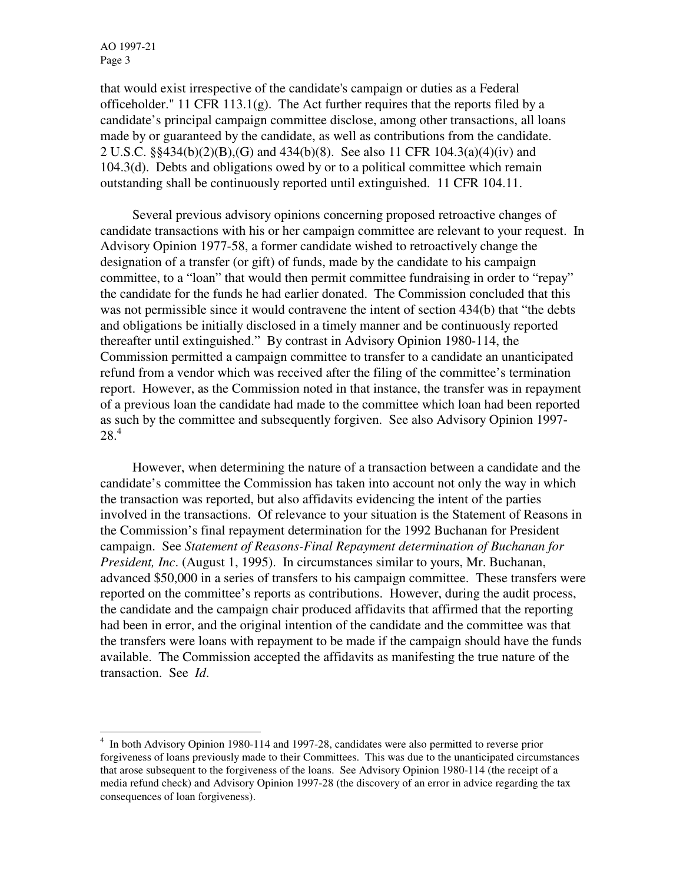AO 1997-21 Page 3

l

that would exist irrespective of the candidate's campaign or duties as a Federal officeholder." 11 CFR 113.1(g). The Act further requires that the reports filed by a candidate's principal campaign committee disclose, among other transactions, all loans made by or guaranteed by the candidate, as well as contributions from the candidate. 2 U.S.C. §§434(b)(2)(B),(G) and 434(b)(8). See also 11 CFR 104.3(a)(4)(iv) and 104.3(d). Debts and obligations owed by or to a political committee which remain outstanding shall be continuously reported until extinguished. 11 CFR 104.11.

 Several previous advisory opinions concerning proposed retroactive changes of candidate transactions with his or her campaign committee are relevant to your request. In Advisory Opinion 1977-58, a former candidate wished to retroactively change the designation of a transfer (or gift) of funds, made by the candidate to his campaign committee, to a "loan" that would then permit committee fundraising in order to "repay" the candidate for the funds he had earlier donated. The Commission concluded that this was not permissible since it would contravene the intent of section 434(b) that "the debts" and obligations be initially disclosed in a timely manner and be continuously reported thereafter until extinguished." By contrast in Advisory Opinion 1980-114, the Commission permitted a campaign committee to transfer to a candidate an unanticipated refund from a vendor which was received after the filing of the committee's termination report. However, as the Commission noted in that instance, the transfer was in repayment of a previous loan the candidate had made to the committee which loan had been reported as such by the committee and subsequently forgiven. See also Advisory Opinion 1997- 28.<sup>4</sup>

 However, when determining the nature of a transaction between a candidate and the candidate's committee the Commission has taken into account not only the way in which the transaction was reported, but also affidavits evidencing the intent of the parties involved in the transactions. Of relevance to your situation is the Statement of Reasons in the Commission's final repayment determination for the 1992 Buchanan for President campaign. See *Statement of Reasons-Final Repayment determination of Buchanan for President, Inc*. (August 1, 1995). In circumstances similar to yours, Mr. Buchanan, advanced \$50,000 in a series of transfers to his campaign committee. These transfers were reported on the committee's reports as contributions. However, during the audit process, the candidate and the campaign chair produced affidavits that affirmed that the reporting had been in error, and the original intention of the candidate and the committee was that the transfers were loans with repayment to be made if the campaign should have the funds available.The Commission accepted the affidavits as manifesting the true nature of the transaction. See *Id*.

<sup>&</sup>lt;sup>4</sup> In both Advisory Opinion 1980-114 and 1997-28, candidates were also permitted to reverse prior forgiveness of loans previously made to their Committees. This was due to the unanticipated circumstances that arose subsequent to the forgiveness of the loans. See Advisory Opinion 1980-114 (the receipt of a media refund check) and Advisory Opinion 1997-28 (the discovery of an error in advice regarding the tax consequences of loan forgiveness).